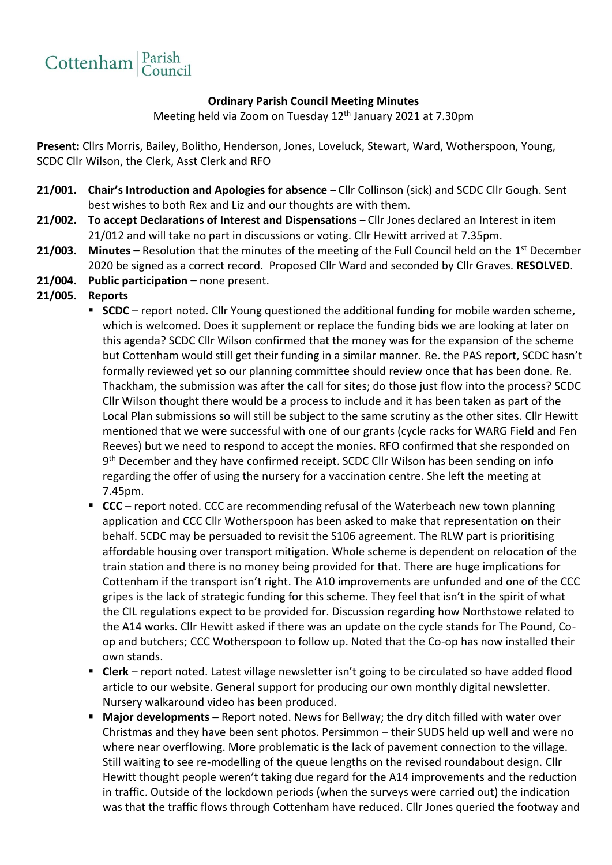

## **Ordinary Parish Council Meeting Minutes**

Meeting held via Zoom on Tuesday 12th January 2021 at 7.30pm

**Present:** Cllrs Morris, Bailey, Bolitho, Henderson, Jones, Loveluck, Stewart, Ward, Wotherspoon, Young, SCDC Cllr Wilson, the Clerk, Asst Clerk and RFO

- **21/001. Chair's Introduction and Apologies for absence –** Cllr Collinson (sick) and SCDC Cllr Gough. Sent best wishes to both Rex and Liz and our thoughts are with them.
- **21/002. To accept Declarations of Interest and Dispensations**  Cllr Jones declared an Interest in item 21/012 and will take no part in discussions or voting. Cllr Hewitt arrived at 7.35pm.
- **21/003.** Minutes Resolution that the minutes of the meeting of the Full Council held on the 1<sup>st</sup> December 2020 be signed as a correct record. Proposed Cllr Ward and seconded by Cllr Graves. **RESOLVED**.
- **21/004. Public participation –** none present.
- **21/005. Reports**
	- **SCDC** report noted. Cllr Young questioned the additional funding for mobile warden scheme, which is welcomed. Does it supplement or replace the funding bids we are looking at later on this agenda? SCDC Cllr Wilson confirmed that the money was for the expansion of the scheme but Cottenham would still get their funding in a similar manner. Re. the PAS report, SCDC hasn't formally reviewed yet so our planning committee should review once that has been done. Re. Thackham, the submission was after the call for sites; do those just flow into the process? SCDC Cllr Wilson thought there would be a process to include and it has been taken as part of the Local Plan submissions so will still be subject to the same scrutiny as the other sites. Cllr Hewitt mentioned that we were successful with one of our grants (cycle racks for WARG Field and Fen Reeves) but we need to respond to accept the monies. RFO confirmed that she responded on 9<sup>th</sup> December and they have confirmed receipt. SCDC Cllr Wilson has been sending on info regarding the offer of using the nursery for a vaccination centre. She left the meeting at 7.45pm.
	- **CCC** report noted. CCC are recommending refusal of the Waterbeach new town planning application and CCC Cllr Wotherspoon has been asked to make that representation on their behalf. SCDC may be persuaded to revisit the S106 agreement. The RLW part is prioritising affordable housing over transport mitigation. Whole scheme is dependent on relocation of the train station and there is no money being provided for that. There are huge implications for Cottenham if the transport isn't right. The A10 improvements are unfunded and one of the CCC gripes is the lack of strategic funding for this scheme. They feel that isn't in the spirit of what the CIL regulations expect to be provided for. Discussion regarding how Northstowe related to the A14 works. Cllr Hewitt asked if there was an update on the cycle stands for The Pound, Coop and butchers; CCC Wotherspoon to follow up. Noted that the Co-op has now installed their own stands.
	- **Clerk** report noted. Latest village newsletter isn't going to be circulated so have added flood article to our website. General support for producing our own monthly digital newsletter. Nursery walkaround video has been produced.
	- Major developments Report noted. News for Bellway; the dry ditch filled with water over Christmas and they have been sent photos. Persimmon – their SUDS held up well and were no where near overflowing. More problematic is the lack of pavement connection to the village. Still waiting to see re-modelling of the queue lengths on the revised roundabout design. Cllr Hewitt thought people weren't taking due regard for the A14 improvements and the reduction in traffic. Outside of the lockdown periods (when the surveys were carried out) the indication was that the traffic flows through Cottenham have reduced. Cllr Jones queried the footway and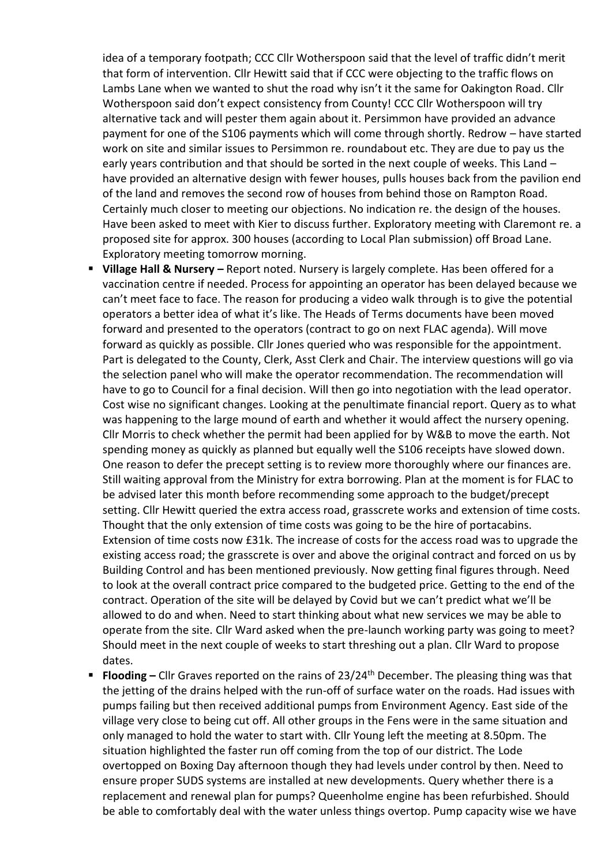idea of a temporary footpath; CCC Cllr Wotherspoon said that the level of traffic didn't merit that form of intervention. Cllr Hewitt said that if CCC were objecting to the traffic flows on Lambs Lane when we wanted to shut the road why isn't it the same for Oakington Road. Cllr Wotherspoon said don't expect consistency from County! CCC Cllr Wotherspoon will try alternative tack and will pester them again about it. Persimmon have provided an advance payment for one of the S106 payments which will come through shortly. Redrow – have started work on site and similar issues to Persimmon re. roundabout etc. They are due to pay us the early years contribution and that should be sorted in the next couple of weeks. This Land – have provided an alternative design with fewer houses, pulls houses back from the pavilion end of the land and removes the second row of houses from behind those on Rampton Road. Certainly much closer to meeting our objections. No indication re. the design of the houses. Have been asked to meet with Kier to discuss further. Exploratory meeting with Claremont re. a proposed site for approx. 300 houses (according to Local Plan submission) off Broad Lane. Exploratory meeting tomorrow morning.

- **Village Hall & Nursery –** Report noted. Nursery is largely complete. Has been offered for a vaccination centre if needed. Process for appointing an operator has been delayed because we can't meet face to face. The reason for producing a video walk through is to give the potential operators a better idea of what it's like. The Heads of Terms documents have been moved forward and presented to the operators (contract to go on next FLAC agenda). Will move forward as quickly as possible. Cllr Jones queried who was responsible for the appointment. Part is delegated to the County, Clerk, Asst Clerk and Chair. The interview questions will go via the selection panel who will make the operator recommendation. The recommendation will have to go to Council for a final decision. Will then go into negotiation with the lead operator. Cost wise no significant changes. Looking at the penultimate financial report. Query as to what was happening to the large mound of earth and whether it would affect the nursery opening. Cllr Morris to check whether the permit had been applied for by W&B to move the earth. Not spending money as quickly as planned but equally well the S106 receipts have slowed down. One reason to defer the precept setting is to review more thoroughly where our finances are. Still waiting approval from the Ministry for extra borrowing. Plan at the moment is for FLAC to be advised later this month before recommending some approach to the budget/precept setting. Cllr Hewitt queried the extra access road, grasscrete works and extension of time costs. Thought that the only extension of time costs was going to be the hire of portacabins. Extension of time costs now £31k. The increase of costs for the access road was to upgrade the existing access road; the grasscrete is over and above the original contract and forced on us by Building Control and has been mentioned previously. Now getting final figures through. Need to look at the overall contract price compared to the budgeted price. Getting to the end of the contract. Operation of the site will be delayed by Covid but we can't predict what we'll be allowed to do and when. Need to start thinking about what new services we may be able to operate from the site. Cllr Ward asked when the pre-launch working party was going to meet? Should meet in the next couple of weeks to start threshing out a plan. Cllr Ward to propose dates.
- **Flooding** Cllr Graves reported on the rains of 23/24<sup>th</sup> December. The pleasing thing was that the jetting of the drains helped with the run-off of surface water on the roads. Had issues with pumps failing but then received additional pumps from Environment Agency. East side of the village very close to being cut off. All other groups in the Fens were in the same situation and only managed to hold the water to start with. Cllr Young left the meeting at 8.50pm. The situation highlighted the faster run off coming from the top of our district. The Lode overtopped on Boxing Day afternoon though they had levels under control by then. Need to ensure proper SUDS systems are installed at new developments. Query whether there is a replacement and renewal plan for pumps? Queenholme engine has been refurbished. Should be able to comfortably deal with the water unless things overtop. Pump capacity wise we have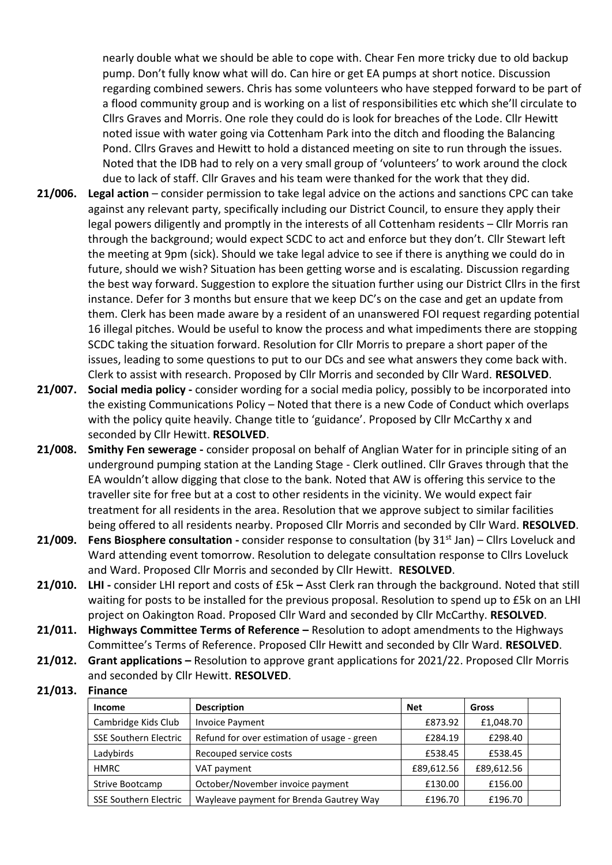nearly double what we should be able to cope with. Chear Fen more tricky due to old backup pump. Don't fully know what will do. Can hire or get EA pumps at short notice. Discussion regarding combined sewers. Chris has some volunteers who have stepped forward to be part of a flood community group and is working on a list of responsibilities etc which she'll circulate to Cllrs Graves and Morris. One role they could do is look for breaches of the Lode. Cllr Hewitt noted issue with water going via Cottenham Park into the ditch and flooding the Balancing Pond. Cllrs Graves and Hewitt to hold a distanced meeting on site to run through the issues. Noted that the IDB had to rely on a very small group of 'volunteers' to work around the clock due to lack of staff. Cllr Graves and his team were thanked for the work that they did.

- **21/006. Legal action**  consider permission to take legal advice on the actions and sanctions CPC can take against any relevant party, specifically including our District Council, to ensure they apply their legal powers diligently and promptly in the interests of all Cottenham residents – Cllr Morris ran through the background; would expect SCDC to act and enforce but they don't. Cllr Stewart left the meeting at 9pm (sick). Should we take legal advice to see if there is anything we could do in future, should we wish? Situation has been getting worse and is escalating. Discussion regarding the best way forward. Suggestion to explore the situation further using our District Cllrs in the first instance. Defer for 3 months but ensure that we keep DC's on the case and get an update from them. Clerk has been made aware by a resident of an unanswered FOI request regarding potential 16 illegal pitches. Would be useful to know the process and what impediments there are stopping SCDC taking the situation forward. Resolution for Cllr Morris to prepare a short paper of the issues, leading to some questions to put to our DCs and see what answers they come back with. Clerk to assist with research. Proposed by Cllr Morris and seconded by Cllr Ward. **RESOLVED**.
- **21/007. Social media policy -** consider wording for a social media policy, possibly to be incorporated into the existing Communications Policy – Noted that there is a new Code of Conduct which overlaps with the policy quite heavily. Change title to 'guidance'. Proposed by Cllr McCarthy x and seconded by Cllr Hewitt. **RESOLVED**.
- **21/008. Smithy Fen sewerage -** consider proposal on behalf of Anglian Water for in principle siting of an underground pumping station at the Landing Stage - Clerk outlined. Cllr Graves through that the EA wouldn't allow digging that close to the bank. Noted that AW is offering this service to the traveller site for free but at a cost to other residents in the vicinity. We would expect fair treatment for all residents in the area. Resolution that we approve subject to similar facilities being offered to all residents nearby. Proposed Cllr Morris and seconded by Cllr Ward. **RESOLVED**.
- **21/009.** Fens Biosphere consultation consider response to consultation (by 31<sup>st</sup> Jan) Cllrs Loveluck and Ward attending event tomorrow. Resolution to delegate consultation response to Cllrs Loveluck and Ward. Proposed Cllr Morris and seconded by Cllr Hewitt. **RESOLVED**.
- **21/010. LHI -** consider LHI report and costs of £5k **–** Asst Clerk ran through the background. Noted that still waiting for posts to be installed for the previous proposal. Resolution to spend up to £5k on an LHI project on Oakington Road. Proposed Cllr Ward and seconded by Cllr McCarthy. **RESOLVED**.
- **21/011. Highways Committee Terms of Reference –** Resolution to adopt amendments to the Highways Committee's Terms of Reference. Proposed Cllr Hewitt and seconded by Cllr Ward. **RESOLVED**.
- **21/012. Grant applications –** Resolution to approve grant applications for 2021/22. Proposed Cllr Morris and seconded by Cllr Hewitt. **RESOLVED**.

## **21/013. Finance**

| <b>Income</b>                | <b>Description</b>                          | <b>Net</b> | Gross      |  |
|------------------------------|---------------------------------------------|------------|------------|--|
| Cambridge Kids Club          | <b>Invoice Payment</b>                      | £873.92    | £1,048.70  |  |
| <b>SSE Southern Electric</b> | Refund for over estimation of usage - green | £284.19    | £298.40    |  |
| Ladybirds                    | Recouped service costs                      | £538.45    | £538.45    |  |
| <b>HMRC</b>                  | VAT payment                                 | £89,612.56 | £89,612.56 |  |
| Strive Bootcamp              | October/November invoice payment            | £130.00    | £156.00    |  |
| <b>SSE Southern Electric</b> | Wayleave payment for Brenda Gautrey Way     | £196.70    | £196.70    |  |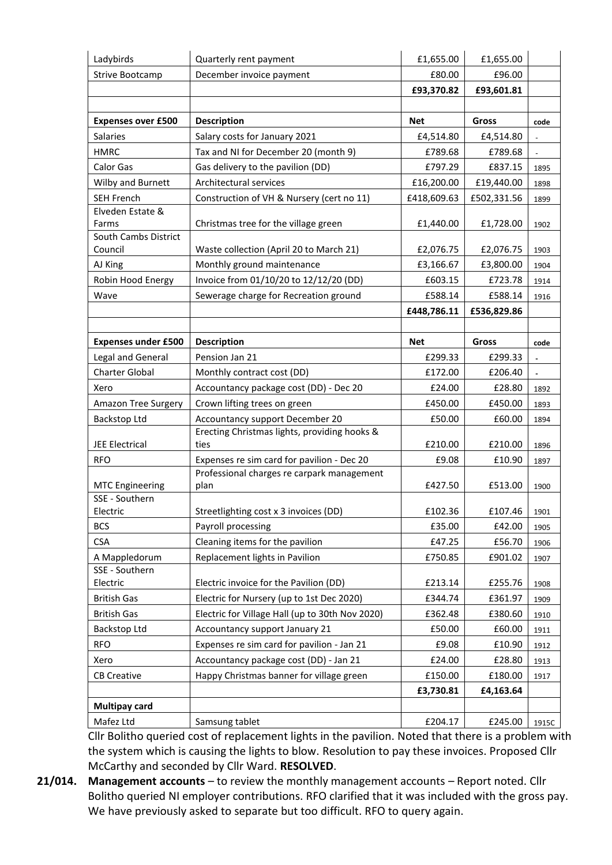| Ladybirds                  | Quarterly rent payment                             | £1,655.00   | £1,655.00   |                |
|----------------------------|----------------------------------------------------|-------------|-------------|----------------|
| <b>Strive Bootcamp</b>     | December invoice payment                           | £80.00      | £96.00      |                |
|                            |                                                    | £93,370.82  | £93,601.81  |                |
|                            |                                                    |             |             |                |
| <b>Expenses over £500</b>  | <b>Description</b>                                 | <b>Net</b>  | Gross       | code           |
| <b>Salaries</b>            | Salary costs for January 2021                      | £4,514.80   | £4,514.80   |                |
| <b>HMRC</b>                | Tax and NI for December 20 (month 9)               | £789.68     | £789.68     |                |
| Calor Gas                  | Gas delivery to the pavilion (DD)                  | £797.29     | £837.15     | 1895           |
| Wilby and Burnett          | Architectural services                             | £16,200.00  | £19,440.00  | 1898           |
| <b>SEH French</b>          | Construction of VH & Nursery (cert no 11)          | £418,609.63 | £502,331.56 | 1899           |
| Elveden Estate &           |                                                    |             |             |                |
| Farms                      | Christmas tree for the village green               | £1,440.00   | £1,728.00   | 1902           |
| South Cambs District       |                                                    |             |             |                |
| Council                    | Waste collection (April 20 to March 21)            | £2,076.75   | £2,076.75   | 1903           |
| AJ King                    | Monthly ground maintenance                         | £3,166.67   | £3,800.00   | 1904           |
| Robin Hood Energy          | Invoice from 01/10/20 to 12/12/20 (DD)             | £603.15     | £723.78     | 1914           |
| Wave                       | Sewerage charge for Recreation ground              | £588.14     | £588.14     | 1916           |
|                            |                                                    | £448,786.11 | £536,829.86 |                |
|                            |                                                    |             |             |                |
| <b>Expenses under £500</b> | <b>Description</b>                                 | <b>Net</b>  | Gross       | code           |
| Legal and General          | Pension Jan 21                                     | £299.33     | £299.33     | $\blacksquare$ |
| <b>Charter Global</b>      | Monthly contract cost (DD)                         | £172.00     | £206.40     |                |
| Xero                       | Accountancy package cost (DD) - Dec 20             | £24.00      | £28.80      | 1892           |
| Amazon Tree Surgery        | Crown lifting trees on green                       | £450.00     | £450.00     | 1893           |
| Backstop Ltd               | Accountancy support December 20                    | £50.00      | £60.00      | 1894           |
|                            | Erecting Christmas lights, providing hooks &       |             |             |                |
| <b>JEE Electrical</b>      | ties                                               | £210.00     | £210.00     | 1896           |
| <b>RFO</b>                 | Expenses re sim card for pavilion - Dec 20         | £9.08       | £10.90      | 1897           |
| <b>MTC Engineering</b>     | Professional charges re carpark management<br>plan | £427.50     | £513.00     |                |
| SSE - Southern             |                                                    |             |             | 1900           |
| Electric                   | Streetlighting cost x 3 invoices (DD)              | £102.36     | £107.46     | 1901           |
| <b>BCS</b>                 | Payroll processing                                 | £35.00      | £42.00      | 1905           |
| <b>CSA</b>                 | Cleaning items for the pavilion                    | £47.25      | £56.70      | 1906           |
| A Mappledorum              | Replacement lights in Pavilion                     | £750.85     | £901.02     | 1907           |
| SSE - Southern             |                                                    |             |             |                |
| Electric                   | Electric invoice for the Pavilion (DD)             | £213.14     | £255.76     | 1908           |
| <b>British Gas</b>         | Electric for Nursery (up to 1st Dec 2020)          | £344.74     | £361.97     | 1909           |
| <b>British Gas</b>         | Electric for Village Hall (up to 30th Nov 2020)    | £362.48     | £380.60     | 1910           |
| Backstop Ltd               | Accountancy support January 21                     | £50.00      | £60.00      | 1911           |
| <b>RFO</b>                 | Expenses re sim card for pavilion - Jan 21         | £9.08       | £10.90      | 1912           |
| Xero                       | Accountancy package cost (DD) - Jan 21             | £24.00      | £28.80      | 1913           |
| <b>CB Creative</b>         | Happy Christmas banner for village green           | £150.00     | £180.00     | 1917           |
|                            |                                                    | £3,730.81   | £4,163.64   |                |
| <b>Multipay card</b>       |                                                    |             |             |                |
| Mafez Ltd                  | Samsung tablet                                     | £204.17     | £245.00     | 1915C          |

Cllr Bolitho queried cost of replacement lights in the pavilion. Noted that there is a problem with the system which is causing the lights to blow. Resolution to pay these invoices. Proposed Cllr McCarthy and seconded by Cllr Ward. **RESOLVED**.

**21/014. Management accounts** – to review the monthly management accounts – Report noted. Cllr Bolitho queried NI employer contributions. RFO clarified that it was included with the gross pay. We have previously asked to separate but too difficult. RFO to query again.